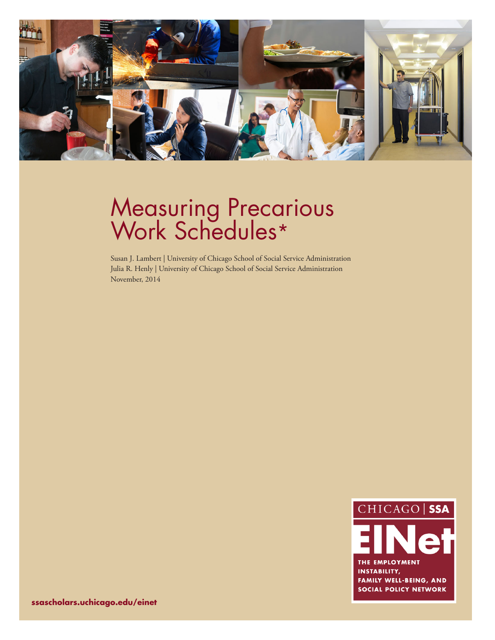

# Measuring Precarious Work Schedules\*

Susan J. Lambert | University of Chicago School of Social Service Administration Julia R. Henly | University of Chicago School of Social Service Administration November, 2014



**ssascholars.uchicago.edu/einet**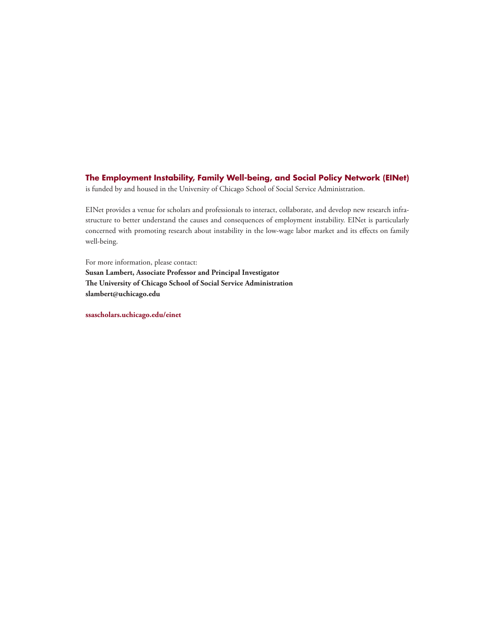# **The Employment Instability, Family Well-being, and Social Policy Network (EINet)**

is funded by and housed in the University of Chicago School of Social Service Administration.

EINet provides a venue for scholars and professionals to interact, collaborate, and develop new research infrastructure to better understand the causes and consequences of employment instability. EINet is particularly concerned with promoting research about instability in the low-wage labor market and its effects on family well-being.

For more information, please contact: **Susan Lambert, Associate Professor and Principal Investigator The University of Chicago School of Social Service Administration slambert@uchicago.edu**

**ssascholars.uchicago.edu/einet**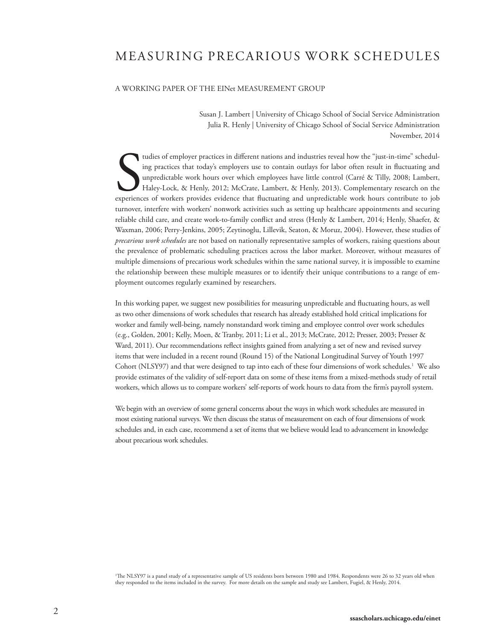# MEASURING PRECARIOUS WORK SCHEDULES

#### A WORKING PAPER OF THE EINet MEASUREMENT GROUP

Susan J. Lambert | University of Chicago School of Social Service Administration Julia R. Henly | University of Chicago School of Social Service Administration November, 2014

tudies of employer practices in different nations and industries reveal how the "just-in-time" scheduling practices that today's employers use to contain outlays for labor often result in fluctuating and unpredictable work ing practices that today's employers use to contain outlays for labor often result in fluctuating and unpredictable work hours over which employees have little control (Carré & Tilly, 2008; Lambert, Haley-Lock, & Henly, 2012; McCrate, Lambert, & Henly, 2013). Complementary research on the experiences of workers provides evidence that fluctuating and unpredictable work hours contribute to job turnover, interfere with workers' nonwork activities such as setting up healthcare appointments and securing reliable child care, and create work-to-family conflict and stress (Henly & Lambert, 2014; Henly, Shaefer, & Waxman, 2006; Perry-Jenkins, 2005; Zeytinoglu, Lillevik, Seaton, & Moruz, 2004). However, these studies of *precarious work schedules* are not based on nationally representative samples of workers, raising questions about the prevalence of problematic scheduling practices across the labor market. Moreover, without measures of multiple dimensions of precarious work schedules within the same national survey, it is impossible to examine the relationship between these multiple measures or to identify their unique contributions to a range of employment outcomes regularly examined by researchers.

In this working paper, we suggest new possibilities for measuring unpredictable and fluctuating hours, as well as two other dimensions of work schedules that research has already established hold critical implications for worker and family well-being, namely nonstandard work timing and employee control over work schedules (e.g., Golden, 2001; Kelly, Moen, & Tranby, 2011; Li et al., 2013; McCrate, 2012; Presser, 2003; Presser & Ward, 2011). Our recommendations reflect insights gained from analyzing a set of new and revised survey items that were included in a recent round (Round 15) of the National Longitudinal Survey of Youth 1997 Cohort (NLSY97) and that were designed to tap into each of these four dimensions of work schedules.<sup>1</sup> We also provide estimates of the validity of self-report data on some of these items from a mixed-methods study of retail workers, which allows us to compare workers' self-reports of work hours to data from the firm's payroll system.

We begin with an overview of some general concerns about the ways in which work schedules are measured in most existing national surveys. We then discuss the status of measurement on each of four dimensions of work schedules and, in each case, recommend a set of items that we believe would lead to advancement in knowledge about precarious work schedules.

1 The NLSY97 is a panel study of a representative sample of US residents born between 1980 and 1984. Respondents were 26 to 32 years old when they responded to the items included in the survey. For more details on the sample and study see Lambert, Fugiel, & Henly, 2014.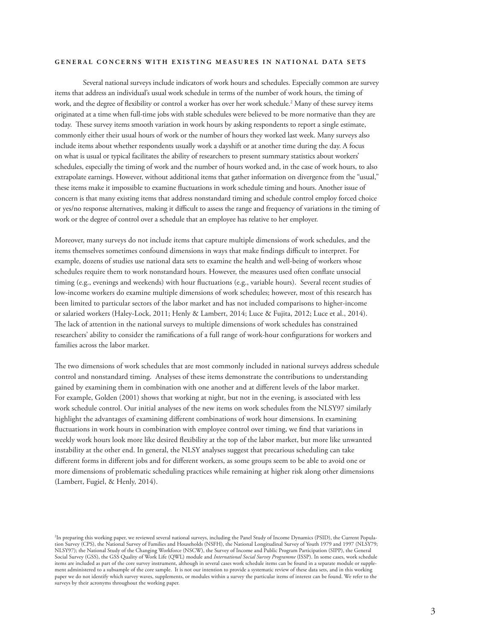#### **GENERAL CONCERNS WITH EXISTING MEASURES IN NATIONAL DATA SETS**

 Several national surveys include indicators of work hours and schedules. Especially common are survey items that address an individual's usual work schedule in terms of the number of work hours, the timing of work, and the degree of flexibility or control a worker has over her work schedule.2 Many of these survey items originated at a time when full-time jobs with stable schedules were believed to be more normative than they are today. These survey items smooth variation in work hours by asking respondents to report a single estimate, commonly either their usual hours of work or the number of hours they worked last week. Many surveys also include items about whether respondents usually work a dayshift or at another time during the day. A focus on what is usual or typical facilitates the ability of researchers to present summary statistics about workers' schedules, especially the timing of work and the number of hours worked and, in the case of work hours, to also extrapolate earnings. However, without additional items that gather information on divergence from the "usual," these items make it impossible to examine fluctuations in work schedule timing and hours. Another issue of concern is that many existing items that address nonstandard timing and schedule control employ forced choice or yes/no response alternatives, making it difficult to assess the range and frequency of variations in the timing of work or the degree of control over a schedule that an employee has relative to her employer.

Moreover, many surveys do not include items that capture multiple dimensions of work schedules, and the items themselves sometimes confound dimensions in ways that make findings difficult to interpret. For example, dozens of studies use national data sets to examine the health and well-being of workers whose schedules require them to work nonstandard hours. However, the measures used often conflate unsocial timing (e.g., evenings and weekends) with hour fluctuations (e.g., variable hours). Several recent studies of low-income workers do examine multiple dimensions of work schedules; however, most of this research has been limited to particular sectors of the labor market and has not included comparisons to higher-income or salaried workers (Haley-Lock, 2011; Henly & Lambert, 2014; Luce & Fujita, 2012; Luce et al., 2014). The lack of attention in the national surveys to multiple dimensions of work schedules has constrained researchers' ability to consider the ramifications of a full range of work-hour configurations for workers and families across the labor market.

The two dimensions of work schedules that are most commonly included in national surveys address schedule control and nonstandard timing. Analyses of these items demonstrate the contributions to understanding gained by examining them in combination with one another and at different levels of the labor market. For example, Golden (2001) shows that working at night, but not in the evening, is associated with less work schedule control. Our initial analyses of the new items on work schedules from the NLSY97 similarly highlight the advantages of examining different combinations of work hour dimensions. In examining fluctuations in work hours in combination with employee control over timing, we find that variations in weekly work hours look more like desired flexibility at the top of the labor market, but more like unwanted instability at the other end. In general, the NLSY analyses suggest that precarious scheduling can take different forms in different jobs and for different workers, as some groups seem to be able to avoid one or more dimensions of problematic scheduling practices while remaining at higher risk along other dimensions (Lambert, Fugiel, & Henly, 2014).

<sup>2</sup> In preparing this working paper, we reviewed several national surveys, including the Panel Study of Income Dynamics (PSID), the Current Population Survey (CPS), the National Survey of Families and Households (NSFH), the National Longitudinal Survey of Youth 1979 and 1997 (NLSY79; NLSY97); the National Study of the Changing Workforce (NSCW), the Survey of Income and Public Program Participation (SIPP), the General Social Survey (GSS), the GSS Quality of Work Life (QWL) module and *International Social Survey Programme* (ISSP). In some cases, work schedule items are included as part of the core survey instrument, although in several cases work schedule items can be found in a separate module or supplement administered to a subsample of the core sample. It is not our intention to provide a systematic review of these data sets, and in this working paper we do not identify which survey waves, supplements, or modules within a survey the particular items of interest can be found. We refer to the surveys by their acronyms throughout the working paper.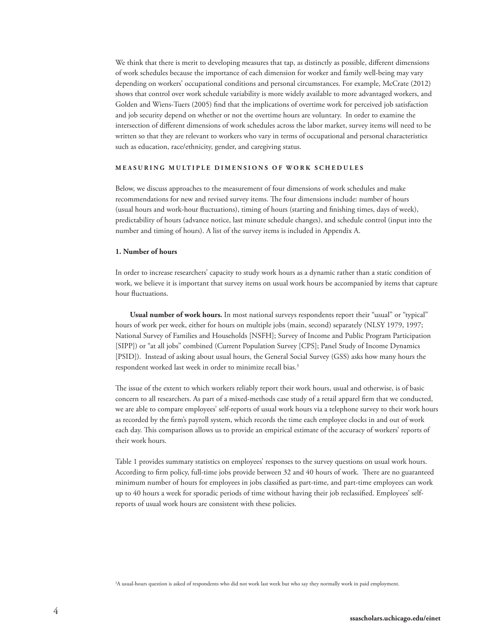We think that there is merit to developing measures that tap, as distinctly as possible, different dimensions of work schedules because the importance of each dimension for worker and family well-being may vary depending on workers' occupational conditions and personal circumstances. For example, McCrate (2012) shows that control over work schedule variability is more widely available to more advantaged workers, and Golden and Wiens-Tuers (2005) find that the implications of overtime work for perceived job satisfaction and job security depend on whether or not the overtime hours are voluntary. In order to examine the intersection of different dimensions of work schedules across the labor market, survey items will need to be written so that they are relevant to workers who vary in terms of occupational and personal characteristics such as education, race/ethnicity, gender, and caregiving status.

#### **MEASURING MULTIPLE DIMENSIONS OF WORK SCHEDULES**

Below, we discuss approaches to the measurement of four dimensions of work schedules and make recommendations for new and revised survey items. The four dimensions include: number of hours (usual hours and work-hour fluctuations), timing of hours (starting and finishing times, days of week), predictability of hours (advance notice, last minute schedule changes), and schedule control (input into the number and timing of hours). A list of the survey items is included in Appendix A.

#### **1. Number of hours**

In order to increase researchers' capacity to study work hours as a dynamic rather than a static condition of work, we believe it is important that survey items on usual work hours be accompanied by items that capture hour fluctuations.

**Usual number of work hours.** In most national surveys respondents report their "usual" or "typical" hours of work per week, either for hours on multiple jobs (main, second) separately (NLSY 1979, 1997; National Survey of Families and Households [NSFH]; Survey of Income and Public Program Participation [SIPP]) or "at all jobs" combined (Current Population Survey [CPS]; Panel Study of Income Dynamics [PSID]). Instead of asking about usual hours, the General Social Survey (GSS) asks how many hours the respondent worked last week in order to minimize recall bias.<sup>3</sup>

The issue of the extent to which workers reliably report their work hours, usual and otherwise, is of basic concern to all researchers. As part of a mixed-methods case study of a retail apparel firm that we conducted, we are able to compare employees' self-reports of usual work hours via a telephone survey to their work hours as recorded by the firm's payroll system, which records the time each employee clocks in and out of work each day. This comparison allows us to provide an empirical estimate of the accuracy of workers' reports of their work hours.

Table 1 provides summary statistics on employees' responses to the survey questions on usual work hours. According to firm policy, full-time jobs provide between 32 and 40 hours of work. There are no guaranteed minimum number of hours for employees in jobs classified as part-time, and part-time employees can work up to 40 hours a week for sporadic periods of time without having their job reclassified. Employees' selfreports of usual work hours are consistent with these policies.

3 A usual-hours question is asked of respondents who did not work last week but who say they normally work in paid employment.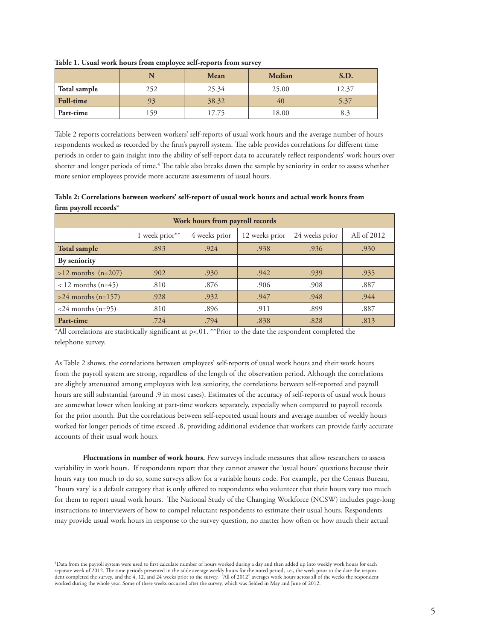|                  | N   | Mean  | <b>Median</b> | S.D.  |
|------------------|-----|-------|---------------|-------|
| Total sample     | 252 | 25.34 | 25.00         | 12.37 |
| <b>Full-time</b> | 93  | 38.32 | 40            | 5.37  |
| Part-time        | 59ء | 17.75 | 18.00         | 8.3   |

**Table 1. Usual work hours from employee self-reports from survey**

Table 2 reports correlations between workers' self-reports of usual work hours and the average number of hours respondents worked as recorded by the firm's payroll system. The table provides correlations for different time periods in order to gain insight into the ability of self-report data to accurately reflect respondents' work hours over shorter and longer periods of time.<sup>4</sup> The table also breaks down the sample by seniority in order to assess whether more senior employees provide more accurate assessments of usual hours.

**Table 2: Correlations between workers' self-report of usual work hours and actual work hours from firm payroll records\***

| Work hours from payroll records |                |                                 |      |                |             |  |  |  |  |  |  |
|---------------------------------|----------------|---------------------------------|------|----------------|-------------|--|--|--|--|--|--|
|                                 | 1 week prior** | 4 weeks prior<br>12 weeks prior |      | 24 weeks prior | All of 2012 |  |  |  |  |  |  |
| <b>Total sample</b>             | .893           | .924                            | .938 | .936           | .930        |  |  |  |  |  |  |
| By seniority                    |                |                                 |      |                |             |  |  |  |  |  |  |
| $>12$ months (n=207)            | .902           | .930                            | .942 | .939           | .935        |  |  |  |  |  |  |
| $< 12$ months (n=45)            | .810           | .876                            | .906 | .908           | .887        |  |  |  |  |  |  |
| $>24$ months (n=157)            | .928           | .932                            | .947 | .948           | .944        |  |  |  |  |  |  |
| $<24$ months (n=95)             | .810           | .896                            | .911 |                | .887        |  |  |  |  |  |  |
| Part-time                       | .724           | .794                            | .838 | .828           | .813        |  |  |  |  |  |  |

\*All correlations are statistically significant at p<.01. \*\*Prior to the date the respondent completed the telephone survey.

As Table 2 shows, the correlations between employees' self-reports of usual work hours and their work hours from the payroll system are strong, regardless of the length of the observation period. Although the correlations are slightly attenuated among employees with less seniority, the correlations between self-reported and payroll hours are still substantial (around .9 in most cases). Estimates of the accuracy of self-reports of usual work hours are somewhat lower when looking at part-time workers separately, especially when compared to payroll records for the prior month. But the correlations between self-reported usual hours and average number of weekly hours worked for longer periods of time exceed .8, providing additional evidence that workers can provide fairly accurate accounts of their usual work hours.

 **Fluctuations in number of work hours.** Few surveys include measures that allow researchers to assess variability in work hours. If respondents report that they cannot answer the 'usual hours' questions because their hours vary too much to do so, some surveys allow for a variable hours code. For example, per the Census Bureau, "hours vary' is a default category that is only offered to respondents who volunteer that their hours vary too much for them to report usual work hours. The National Study of the Changing Workforce (NCSW) includes page-long instructions to interviewers of how to compel reluctant respondents to estimate their usual hours. Respondents may provide usual work hours in response to the survey question, no matter how often or how much their actual

<sup>4</sup> Data from the payroll system were used to first calculate number of hours worked during a day and then added up into weekly work hours for each separate week of 2012. The time periods presented in the table average weekly hours for the noted period, i.e., the week prior to the date the respondent completed the survey, and the 4, 12, and 24 weeks prior to the survey. "All of 2012" averages work hours across all of the weeks the respondent worked during the whole year. Some of these weeks occurred after the survey, which was fielded in May and June of 2012.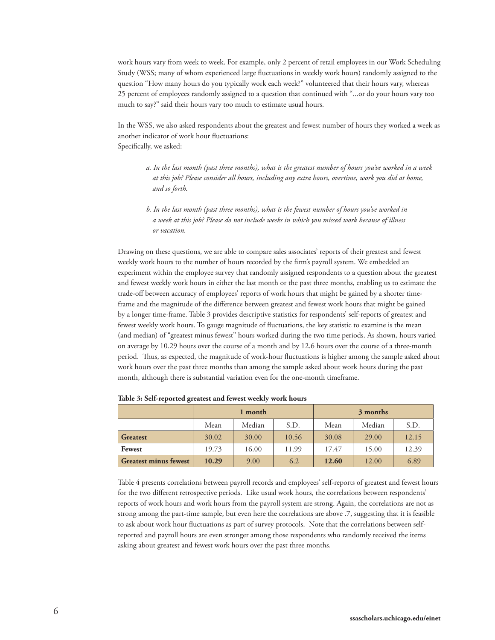work hours vary from week to week. For example, only 2 percent of retail employees in our Work Scheduling Study (WSS; many of whom experienced large fluctuations in weekly work hours) randomly assigned to the question "How many hours do you typically work each week?" volunteered that their hours vary, whereas 25 percent of employees randomly assigned to a question that continued with "...or do your hours vary too much to say?" said their hours vary too much to estimate usual hours.

In the WSS, we also asked respondents about the greatest and fewest number of hours they worked a week as another indicator of work hour fluctuations: Specifically, we asked:

- *a. In the last month (past three months), what is the greatest number of hours you've worked in a week at this job? Please consider all hours, including any extra hours, overtime, work you did at home, and so forth.*
- *b. In the last month (past three months), what is the fewest number of hours you've worked in a week at this job? Please do not include weeks in which you missed work because of illness or vacation.*

Drawing on these questions, we are able to compare sales associates' reports of their greatest and fewest weekly work hours to the number of hours recorded by the firm's payroll system. We embedded an experiment within the employee survey that randomly assigned respondents to a question about the greatest and fewest weekly work hours in either the last month or the past three months, enabling us to estimate the trade-off between accuracy of employees' reports of work hours that might be gained by a shorter timeframe and the magnitude of the difference between greatest and fewest work hours that might be gained by a longer time-frame. Table 3 provides descriptive statistics for respondents' self-reports of greatest and fewest weekly work hours. To gauge magnitude of fluctuations, the key statistic to examine is the mean (and median) of "greatest minus fewest" hours worked during the two time periods. As shown, hours varied on average by 10.29 hours over the course of a month and by 12.6 hours over the course of a three-month period. Thus, as expected, the magnitude of work-hour fluctuations is higher among the sample asked about work hours over the past three months than among the sample asked about work hours during the past month, although there is substantial variation even for the one-month timeframe.

|                              |                        | 1 month |     | 3 months |       |       |  |  |
|------------------------------|------------------------|---------|-----|----------|-------|-------|--|--|
|                              | Median<br>S.D.<br>Mean |         |     | Mean     | S.D.  |       |  |  |
| <b>Greatest</b>              | 30.02                  | 30.00   |     | 30.08    | 29.00 | 12.15 |  |  |
| Fewest                       | 19.73                  | 16.00   |     | 17.47    | 15.00 | 12.39 |  |  |
| <b>Greatest minus fewest</b> | 10.29                  | 9.00    | 6.2 | 12.60    | 12.00 | 6.89  |  |  |

**Table 3: Self-reported greatest and fewest weekly work hours**

Table 4 presents correlations between payroll records and employees' self-reports of greatest and fewest hours for the two different retrospective periods. Like usual work hours, the correlations between respondents' reports of work hours and work hours from the payroll system are strong. Again, the correlations are not as strong among the part-time sample, but even here the correlations are above .7, suggesting that it is feasible to ask about work hour fluctuations as part of survey protocols. Note that the correlations between selfreported and payroll hours are even stronger among those respondents who randomly received the items asking about greatest and fewest work hours over the past three months.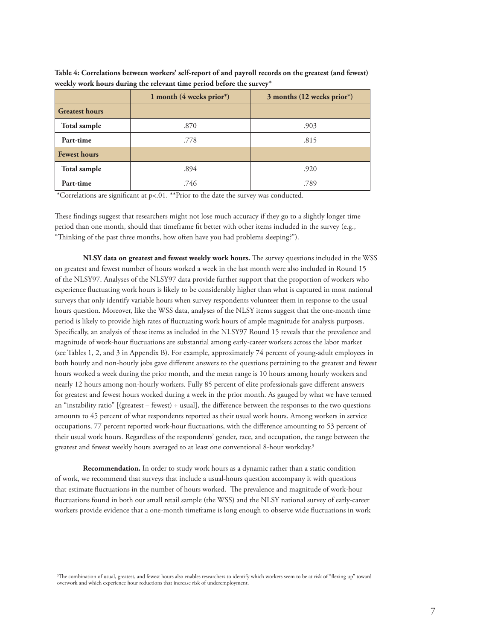|                       | 1 month $(4$ weeks prior*) | 3 months (12 weeks prior*) |
|-----------------------|----------------------------|----------------------------|
| <b>Greatest hours</b> |                            |                            |
| Total sample          | .870                       | .903                       |
| Part-time             | .778                       | .815                       |
| <b>Fewest hours</b>   |                            |                            |
| Total sample          | .894                       | .920                       |
| Part-time             | .746                       | .789                       |

**Table 4: Correlations between workers' self-report of and payroll records on the greatest (and fewest) weekly work hours during the relevant time period before the survey\***

\*Correlations are significant at p<.01. \*\*Prior to the date the survey was conducted.

These findings suggest that researchers might not lose much accuracy if they go to a slightly longer time period than one month, should that timeframe fit better with other items included in the survey (e.g., "Thinking of the past three months, how often have you had problems sleeping?").

 **NLSY data on greatest and fewest weekly work hours.** The survey questions included in the WSS on greatest and fewest number of hours worked a week in the last month were also included in Round 15 of the NLSY97. Analyses of the NLSY97 data provide further support that the proportion of workers who experience fluctuating work hours is likely to be considerably higher than what is captured in most national surveys that only identify variable hours when survey respondents volunteer them in response to the usual hours question. Moreover, like the WSS data, analyses of the NLSY items suggest that the one-month time period is likely to provide high rates of fluctuating work hours of ample magnitude for analysis purposes. Specifically, an analysis of these items as included in the NLSY97 Round 15 reveals that the prevalence and magnitude of work-hour fluctuations are substantial among early-career workers across the labor market (see Tables 1, 2, and 3 in Appendix B). For example, approximately 74 percent of young-adult employees in both hourly and non-hourly jobs gave different answers to the questions pertaining to the greatest and fewest hours worked a week during the prior month, and the mean range is 10 hours among hourly workers and nearly 12 hours among non-hourly workers. Fully 85 percent of elite professionals gave different answers for greatest and fewest hours worked during a week in the prior month. As gauged by what we have termed an "instability ratio" [(greatest – fewest)  $\div$  usual], the difference between the responses to the two questions amounts to 45 percent of what respondents reported as their usual work hours. Among workers in service occupations, 77 percent reported work-hour fluctuations, with the difference amounting to 53 percent of their usual work hours. Regardless of the respondents' gender, race, and occupation, the range between the greatest and fewest weekly hours averaged to at least one conventional 8-hour workday.<sup>5</sup>

 **Recommendation.** In order to study work hours as a dynamic rather than a static condition of work, we recommend that surveys that include a usual-hours question accompany it with questions that estimate fluctuations in the number of hours worked. The prevalence and magnitude of work-hour fluctuations found in both our small retail sample (the WSS) and the NLSY national survey of early-career workers provide evidence that a one-month timeframe is long enough to observe wide fluctuations in work

5 The combination of usual, greatest, and fewest hours also enables researchers to identify which workers seem to be at risk of "flexing up" toward overwork and which experience hour reductions that increase risk of underemployment.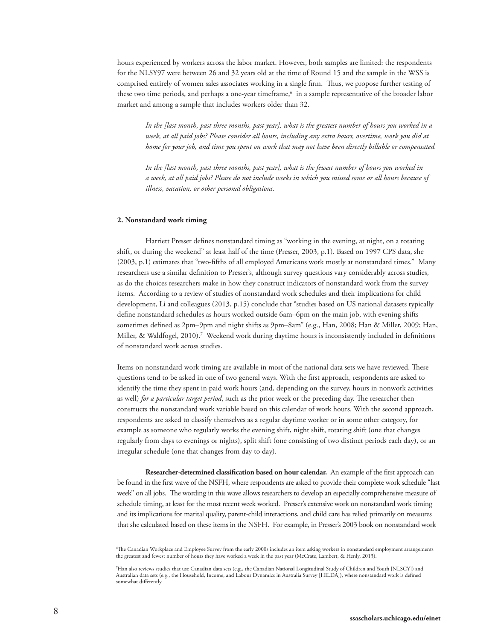hours experienced by workers across the labor market. However, both samples are limited: the respondents for the NLSY97 were between 26 and 32 years old at the time of Round 15 and the sample in the WSS is comprised entirely of women sales associates working in a single firm. Thus, we propose further testing of these two time periods, and perhaps a one-year timeframe,<sup>6</sup> in a sample representative of the broader labor market and among a sample that includes workers older than 32.

 *In the [last month, past three months, past year], what is the greatest number of hours you worked in a week, at all paid jobs? Please consider all hours, including any extra hours, overtime, work you did at home for your job, and time you spent on work that may not have been directly billable or compensated.* 

 *In the [last month, past three months, past year], what is the fewest number of hours you worked in a week, at all paid jobs? Please do not include weeks in which you missed some or all hours because of illness, vacation, or other personal obligations.* 

#### **2. Nonstandard work timing**

 Harriett Presser defines nonstandard timing as "working in the evening, at night, on a rotating shift, or during the weekend" at least half of the time (Presser, 2003, p.1). Based on 1997 CPS data, she (2003, p.1) estimates that "two-fifths of all employed Americans work mostly at nonstandard times." Many researchers use a similar definition to Presser's, although survey questions vary considerably across studies, as do the choices researchers make in how they construct indicators of nonstandard work from the survey items. According to a review of studies of nonstandard work schedules and their implications for child development, Li and colleagues (2013, p.15) conclude that "studies based on US national datasets typically define nonstandard schedules as hours worked outside 6am–6pm on the main job, with evening shifts sometimes defined as 2pm–9pm and night shifts as 9pm–8am" (e.g., Han, 2008; Han & Miller, 2009; Han, Miller, & Waldfogel, 2010).7 Weekend work during daytime hours is inconsistently included in definitions of nonstandard work across studies.

Items on nonstandard work timing are available in most of the national data sets we have reviewed. These questions tend to be asked in one of two general ways. With the first approach, respondents are asked to identify the time they spent in paid work hours (and, depending on the survey, hours in nonwork activities as well) *for a particular target period*, such as the prior week or the preceding day. The researcher then constructs the nonstandard work variable based on this calendar of work hours. With the second approach, respondents are asked to classify themselves as a regular daytime worker or in some other category, for example as someone who regularly works the evening shift, night shift, rotating shift (one that changes regularly from days to evenings or nights), split shift (one consisting of two distinct periods each day), or an irregular schedule (one that changes from day to day).

 **Researcher-determined classification based on hour calendar.** An example of the first approach can be found in the first wave of the NSFH, where respondents are asked to provide their complete work schedule "last week" on all jobs. The wording in this wave allows researchers to develop an especially comprehensive measure of schedule timing, at least for the most recent week worked. Presser's extensive work on nonstandard work timing and its implications for marital quality, parent-child interactions, and child care has relied primarily on measures that she calculated based on these items in the NSFH. For example, in Presser's 2003 book on nonstandard work

<sup>6</sup> The Canadian Workplace and Employee Survey from the early 2000s includes an item asking workers in nonstandard employment arrangements the greatest and fewest number of hours they have worked a week in the past year (McCrate, Lambert, & Henly, 2013).

<sup>7</sup> Han also reviews studies that use Canadian data sets (e.g., the Canadian National Longitudinal Study of Children and Youth [NLSCY]) and Australian data sets (e.g., the Household, Income, and Labour Dynamics in Australia Survey [HILDA]), where nonstandard work is defined somewhat differently.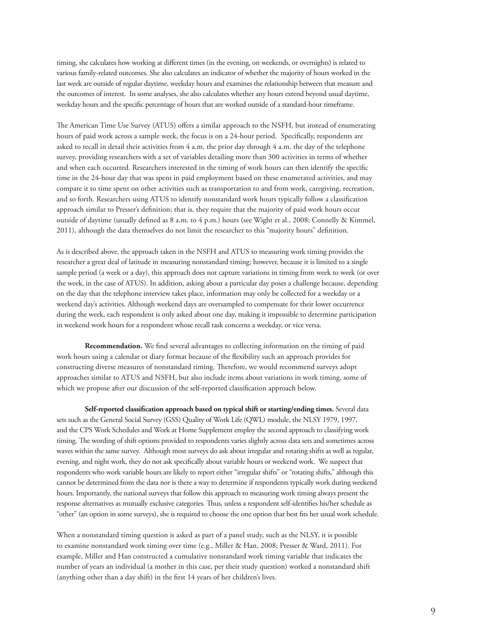timing, she calculates how working at different times (in the evening, on weekends, or overnights) is related to various family-related outcomes. She also calculates an indicator of whether the majority of hours worked in the last week are outside of regular daytime, weekday hours and examines the relationship between that measure and the outcomes of interest. In some analyses, she also calculates whether any hours extend beyond usual daytime, weekday hours and the specific percentage of hours that are worked outside of a standard-hour timeframe.

The American Time Use Survey (ATUS) offers a similar approach to the NSFH, but instead of enumerating hours of paid work across a sample week, the focus is on a 24-hour period. Specifically, respondents are asked to recall in detail their activities from 4 a.m. the prior day through 4 a.m. the day of the telephone survey, providing researchers with a set of variables detailing more than 300 activities in terms of whether and when each occurred. Researchers interested in the timing of work hours can then identify the specific time in the 24-hour day that was spent in paid employment based on these enumerated activities, and may compare it to time spent on other activities such as transportation to and from work, caregiving, recreation, and so forth. Researchers using ATUS to identify nonstandard work hours typically follow a classification approach similar to Presser's definition; that is, they require that the majority of paid work hours occur outside of daytime (usually defined as 8 a.m. to 4 p.m.) hours (see Wight et al., 2008; Connelly & Kimmel, 2011), although the data themselves do not limit the researcher to this "majority hours" definition.

As is described above, the approach taken in the NSFH and ATUS to measuring work timing provides the researcher a great deal of latitude in measuring nonstandard timing; however, because it is limited to a single sample period (a week or a day), this approach does not capture variations in timing from week to week (or over the week, in the case of ATUS). In addition, asking about a particular day poses a challenge because, depending on the day that the telephone interview takes place, information may only be collected for a weekday or a weekend day's activities. Although weekend days are oversampled to compensate for their lower occurrence during the week, each respondent is only asked about one day, making it impossible to determine participation in weekend work hours for a respondent whose recall task concerns a weekday, or vice versa.

 **Recommendation.** We find several advantages to collecting information on the timing of paid work hours using a calendar or diary format because of the flexibility such an approach provides for constructing diverse measures of nonstandard timing. Therefore, we would recommend surveys adopt approaches similar to ATUS and NSFH, but also include items about variations in work timing, some of which we propose after our discussion of the self-reported classification approach below.

 **Self-reported classification approach based on typical shift or starting/ending times.** Several data sets such as the General Social Survey (GSS) Quality of Work Life (QWL) module, the NLSY 1979, 1997, and the CPS Work Schedules and Work at Home Supplement employ the second approach to classifying work timing. The wording of shift options provided to respondents varies slightly across data sets and sometimes across waves within the same survey. Although most surveys do ask about irregular and rotating shifts as well as regular, evening, and night work, they do not ask specifically about variable hours or weekend work. We suspect that respondents who work variable hours are likely to report either "irregular shifts" or "rotating shifts," although this cannot be determined from the data nor is there a way to determine if respondents typically work during weekend hours. Importantly, the national surveys that follow this approach to measuring work timing always present the response alternatives as mutually exclusive categories. Thus, unless a respondent self-identifies his/her schedule as "other" (an option in some surveys), she is required to choose the one option that best fits her usual work schedule.

When a nonstandard timing question is asked as part of a panel study, such as the NLSY, it is possible to examine nonstandard work timing over time (e.g., Miller & Han, 2008; Presser & Ward, 2011). For example, Miller and Han constructed a cumulative nonstandard work timing variable that indicates the number of years an individual (a mother in this case, per their study question) worked a nonstandard shift (anything other than a day shift) in the first 14 years of her children's lives.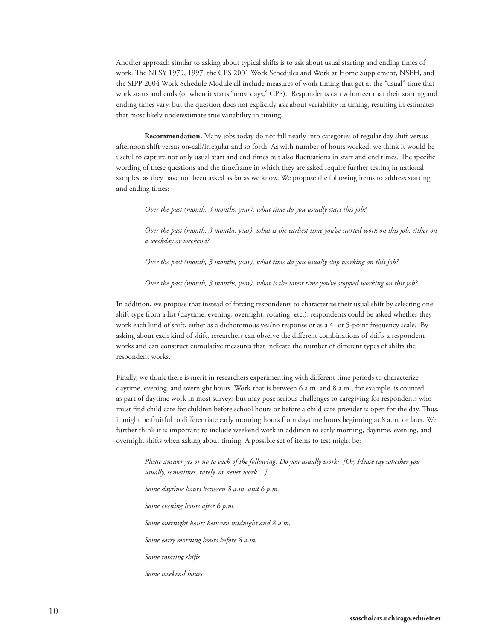Another approach similar to asking about typical shifts is to ask about usual starting and ending times of work. The NLSY 1979, 1997, the CPS 2001 Work Schedules and Work at Home Supplement, NSFH, and the SIPP 2004 Work Schedule Module all include measures of work timing that get at the "usual" time that work starts and ends (or when it starts "most days," CPS). Respondents can volunteer that their starting and ending times vary, but the question does not explicitly ask about variability in timing, resulting in estimates that most likely underestimate true variability in timing.

 **Recommendation.** Many jobs today do not fall neatly into categories of regular day shift versus afternoon shift versus on-call/irregular and so forth. As with number of hours worked, we think it would be useful to capture not only usual start and end times but also fluctuations in start and end times. The specific wording of these questions and the timeframe in which they are asked require further testing in national samples, as they have not been asked as far as we know. We propose the following items to address starting and ending times:

 *Over the past (month, 3 months, year), what time do you usually start this job?* 

 *Over the past (month, 3 months, year), what is the earliest time you've started work on this job, either on a weekday or weekend?*

 *Over the past (month, 3 months, year), what time do you usually stop working on this job?* 

 *Over the past (month, 3 months, year), what is the latest time you've stopped working on this job?* 

In addition, we propose that instead of forcing respondents to characterize their usual shift by selecting one shift type from a list (daytime, evening, overnight, rotating, etc.), respondents could be asked whether they work each kind of shift, either as a dichotomous yes/no response or as a 4- or 5-point frequency scale. By asking about each kind of shift, researchers can observe the different combinations of shifts a respondent works and can construct cumulative measures that indicate the number of different types of shifts the respondent works.

Finally, we think there is merit in researchers experimenting with different time periods to characterize daytime, evening, and overnight hours. Work that is between 6 a.m. and 8 a.m., for example, is counted as part of daytime work in most surveys but may pose serious challenges to caregiving for respondents who must find child care for children before school hours or before a child care provider is open for the day. Thus, it might be fruitful to differentiate early morning hours from daytime hours beginning at 8 a.m. or later. We further think it is important to include weekend work in addition to early morning, daytime, evening, and overnight shifts when asking about timing. A possible set of items to test might be:

 *Please answer yes or no to each of the following. Do you usually work: [Or, Please say whether you usually, sometimes, rarely, or never work…]*

 *Some daytime hours between 8 a.m. and 6 p.m. Some evening hours after 6 p.m. Some overnight hours between midnight and 8 a.m. Some early morning hours before 8 a.m. Some rotating shifts Some weekend hours*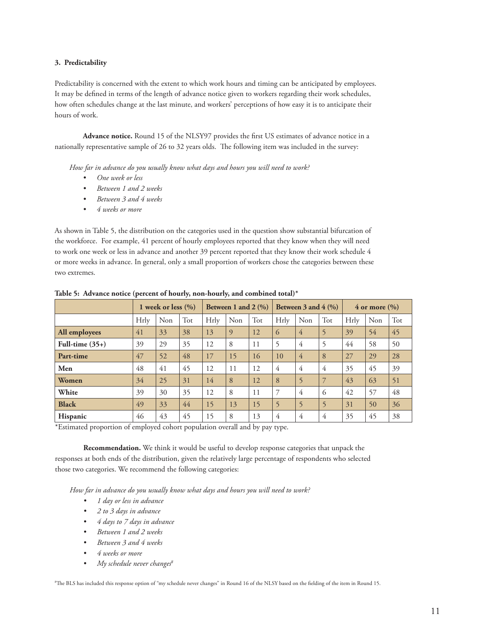# **3. Predictability**

Predictability is concerned with the extent to which work hours and timing can be anticipated by employees. It may be defined in terms of the length of advance notice given to workers regarding their work schedules, how often schedules change at the last minute, and workers' perceptions of how easy it is to anticipate their hours of work.

 **Advance notice.** Round 15 of the NLSY97 provides the first US estimates of advance notice in a nationally representative sample of 26 to 32 years olds. The following item was included in the survey:

*How far in advance do you usually know what days and hours you will need to work?* 

- *• One week or less*
- *• Between 1 and 2 weeks*
- *• Between 3 and 4 weeks*
- *• 4 weeks or more*

As shown in Table 5, the distribution on the categories used in the question show substantial bifurcation of the workforce. For example, 41 percent of hourly employees reported that they know when they will need to work one week or less in advance and another 39 percent reported that they know their work schedule 4 or more weeks in advance. In general, only a small proportion of workers chose the categories between these two extremes.

|                   |      | 1 week or less $(\% )$ |     | Between 1 and 2 $(\%)$ |     |     | Between 3 and $4 \frac{(\%)}{}$ |                |                | $4$ or more $\left(\% \right)$ |     |     |
|-------------------|------|------------------------|-----|------------------------|-----|-----|---------------------------------|----------------|----------------|--------------------------------|-----|-----|
|                   | Hrly | Non                    | Tot | Hrly                   | Non | Tot | Hrly                            | Non            | Tot            | Hrly                           | Non | Tot |
| All employees     | 41   | 33                     | 38  | 13                     | 9   | 12  | 6                               | $\overline{4}$ | 5              | 39                             | 54  | 45  |
| Full-time $(35+)$ | 39   | 29                     | 35  | 12                     | 8   | 11  | 5                               | 4              | 5              | 44                             | 58  | 50  |
| Part-time         | 47   | 52                     | 48  | 17                     | 15  | 16  | 10                              | 4              | 8              | 27                             | 29  | 28  |
| Men               | 48   | 41                     | 45  | 12                     | 11  | 12  | 4                               | 4              | 4              | 35                             | 45  | 39  |
| Women             | 34   | 25                     | 31  | 14                     | 8   | 12  | 8                               | 5              | $\overline{7}$ | 43                             | 63  | 51  |
| White             | 39   | 30                     | 35  | 12                     | 8   | 11  | 7                               | 4              | 6              | 42                             | 57  | 48  |
| <b>Black</b>      | 49   | 33                     | 44  | 15                     | 13  | 15  | 5                               | 5              | 5              | 31                             | 50  | 36  |
| Hispanic          | 46   | 43                     | 45  | 15                     | 8   | 13  | 4                               | $\overline{4}$ | 4              | 35                             | 45  | 38  |

**Table 5: Advance notice (percent of hourly, non-hourly, and combined total)\***

\*Estimated proportion of employed cohort population overall and by pay type.

 **Recommendation.** We think it would be useful to develop response categories that unpack the responses at both ends of the distribution, given the relatively large percentage of respondents who selected those two categories. We recommend the following categories:

*How far in advance do you usually know what days and hours you will need to work?* 

- *• 1 day or less in advance*
- *• 2 to 3 days in advance*
- *• 4 days to 7 days in advance*
- *• Between 1 and 2 weeks*
- *• Between 3 and 4 weeks*
- *• 4 weeks or more*
- *• My schedule never changes8*

8 The BLS has included this response option of "my schedule never changes" in Round 16 of the NLSY based on the fielding of the item in Round 15.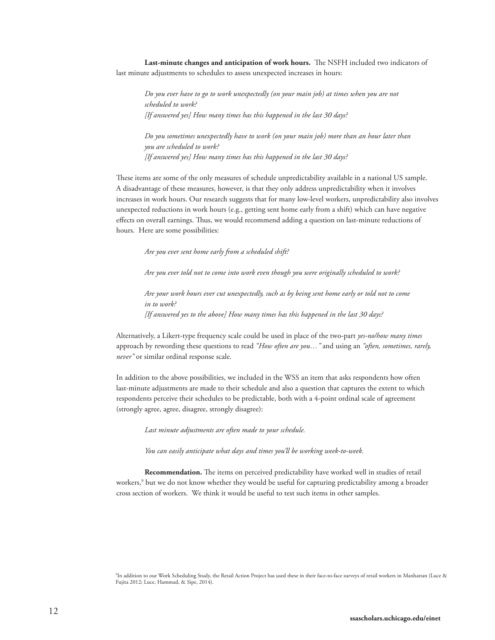**Last-minute changes and anticipation of work hours.** The NSFH included two indicators of last minute adjustments to schedules to assess unexpected increases in hours:

 *Do you ever have to go to work unexpectedly (on your main job) at times when you are not scheduled to work? [If answered yes] How many times has this happened in the last 30 days?*

 *Do you sometimes unexpectedly have to work (on your main job) more than an hour later than you are scheduled to work? [If answered yes] How many times has this happened in the last 30 days?*

These items are some of the only measures of schedule unpredictability available in a national US sample. A disadvantage of these measures, however, is that they only address unpredictability when it involves increases in work hours. Our research suggests that for many low-level workers, unpredictability also involves unexpected reductions in work hours (e.g., getting sent home early from a shift) which can have negative effects on overall earnings. Thus, we would recommend adding a question on last-minute reductions of hours. Here are some possibilities:

 *Are you ever sent home early from a scheduled shift?* 

 *Are you ever told not to come into work even though you were originally scheduled to work?* 

 *Are your work hours ever cut unexpectedly, such as by being sent home early or told not to come in to work? [If answered yes to the above] How many times has this happened in the last 30 days?*

Alternatively, a Likert-type frequency scale could be used in place of the two-part *yes-no/how many times* approach by rewording these questions to read *"How often are you…"* and using an *"often, sometimes, rarely, never"* or similar ordinal response scale.

In addition to the above possibilities, we included in the WSS an item that asks respondents how often last-minute adjustments are made to their schedule and also a question that captures the extent to which respondents perceive their schedules to be predictable, both with a 4-point ordinal scale of agreement (strongly agree, agree, disagree, strongly disagree):

*Last minute adjustments are often made to your schedule.*

 *You can easily anticipate what days and times you'll be working week-to-week.* 

 **Recommendation.** The items on perceived predictability have worked well in studies of retail workers,<sup>9</sup> but we do not know whether they would be useful for capturing predictability among a broader cross section of workers. We think it would be useful to test such items in other samples.

9 In addition to our Work Scheduling Study, the Retail Action Project has used these in their face-to-face surveys of retail workers in Manhattan (Luce & Fujita 2012; Luce, Hammad, & Sipe, 2014).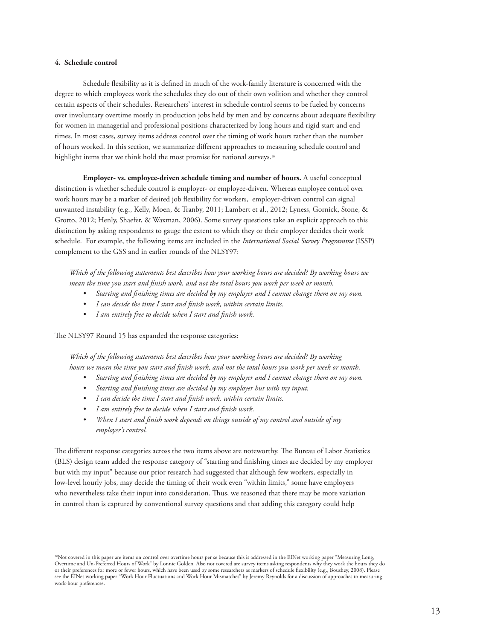# **4. Schedule control**

 Schedule flexibility as it is defined in much of the work-family literature is concerned with the degree to which employees work the schedules they do out of their own volition and whether they control certain aspects of their schedules. Researchers' interest in schedule control seems to be fueled by concerns over involuntary overtime mostly in production jobs held by men and by concerns about adequate flexibility for women in managerial and professional positions characterized by long hours and rigid start and end times. In most cases, survey items address control over the timing of work hours rather than the number of hours worked. In this section, we summarize different approaches to measuring schedule control and highlight items that we think hold the most promise for national surveys.<sup>10</sup>

 **Employer- vs. employee-driven schedule timing and number of hours.** A useful conceptual distinction is whether schedule control is employer- or employee-driven. Whereas employee control over work hours may be a marker of desired job flexibility for workers, employer-driven control can signal unwanted instability (e.g., Kelly, Moen, & Tranby, 2011; Lambert et al., 2012; Lyness, Gornick, Stone, & Grotto, 2012; Henly, Shaefer, & Waxman, 2006). Some survey questions take an explicit approach to this distinction by asking respondents to gauge the extent to which they or their employer decides their work schedule. For example, the following items are included in the *International Social Survey Programme* (ISSP) complement to the GSS and in earlier rounds of the NLSY97:

*Which of the following statements best describes how your working hours are decided? By working hours we mean the time you start and finish work, and not the total hours you work per week or month.* 

- *• Starting and finishing times are decided by my employer and I cannot change them on my own.*
- *• I can decide the time I start and finish work, within certain limits.*
- *• I am entirely free to decide when I start and finish work.*

The NLSY97 Round 15 has expanded the response categories:

*Which of the following statements best describes how your working hours are decided? By working hours we mean the time you start and finish work, and not the total hours you work per week or month.* 

- *• Starting and finishing times are decided by my employer and I cannot change them on my own.*
- *• Starting and finishing times are decided by my employer but with my input.*
- *• I can decide the time I start and finish work, within certain limits.*
- *• I am entirely free to decide when I start and finish work.*
- *• When I start and finish work depends on things outside of my control and outside of my employer's control.*

The different response categories across the two items above are noteworthy. The Bureau of Labor Statistics (BLS) design team added the response category of "starting and finishing times are decided by my employer but with my input" because our prior research had suggested that although few workers, especially in low-level hourly jobs, may decide the timing of their work even "within limits," some have employers who nevertheless take their input into consideration. Thus, we reasoned that there may be more variation in control than is captured by conventional survey questions and that adding this category could help

<sup>10</sup>Not covered in this paper are items on control over overtime hours per se because this is addressed in the EINet working paper "Measuring Long, Overtime and Un-Preferred Hours of Work" by Lonnie Golden. Also not covered are survey items asking respondents why they work the hours they do or their preferences for more or fewer hours, which have been used by some researchers as markers of schedule flexibility (e.g., Boushey, 2008). Please see the EINet working paper "Work Hour Fluctuations and Work Hour Mismatches" by Jeremy Reynolds for a discussion of approaches to measuring work-hour preferences.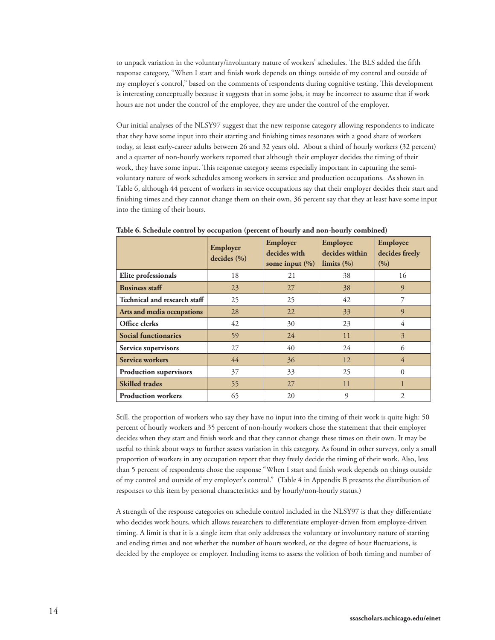to unpack variation in the voluntary/involuntary nature of workers' schedules. The BLS added the fifth response category, "When I start and finish work depends on things outside of my control and outside of my employer's control," based on the comments of respondents during cognitive testing. This development is interesting conceptually because it suggests that in some jobs, it may be incorrect to assume that if work hours are not under the control of the employee, they are under the control of the employer.

Our initial analyses of the NLSY97 suggest that the new response category allowing respondents to indicate that they have some input into their starting and finishing times resonates with a good share of workers today, at least early-career adults between 26 and 32 years old. About a third of hourly workers (32 percent) and a quarter of non-hourly workers reported that although their employer decides the timing of their work, they have some input. This response category seems especially important in capturing the semivoluntary nature of work schedules among workers in service and production occupations. As shown in Table 6, although 44 percent of workers in service occupations say that their employer decides their start and finishing times and they cannot change them on their own, 36 percent say that they at least have some input into the timing of their hours.

|                               | Employer<br>decides $(\% )$ | Employer<br>decides with<br>some input $(\% )$ | Employee<br>decides within<br>limits $(\% )$ | Employee<br>decides freely<br>(9/0) |
|-------------------------------|-----------------------------|------------------------------------------------|----------------------------------------------|-------------------------------------|
| Elite professionals           | 18                          | 21                                             | 38                                           | 16                                  |
| <b>Business staff</b>         | 23                          | 27                                             | 38                                           | 9                                   |
| Technical and research staff  | 25                          | 25                                             | 42                                           | 7                                   |
| Arts and media occupations    | 28                          | 22                                             | 33                                           | 9                                   |
| Office clerks                 | 42                          | 30                                             | 23                                           | 4                                   |
| <b>Social functionaries</b>   | 59                          | 24                                             | 11                                           | 3                                   |
| Service supervisors           | 27                          | 40                                             | 24                                           | 6                                   |
| <b>Service workers</b>        | 44                          | 36                                             | 12                                           | 4                                   |
| <b>Production supervisors</b> | 37                          | 33                                             | 25                                           | $\theta$                            |
| <b>Skilled</b> trades         | 55                          | 27                                             | 11                                           |                                     |
| <b>Production workers</b>     | 65                          | 20                                             | 9                                            | $\overline{c}$                      |

**Table 6. Schedule control by occupation (percent of hourly and non-hourly combined)**

Still, the proportion of workers who say they have no input into the timing of their work is quite high: 50 percent of hourly workers and 35 percent of non-hourly workers chose the statement that their employer decides when they start and finish work and that they cannot change these times on their own. It may be useful to think about ways to further assess variation in this category. As found in other surveys, only a small proportion of workers in any occupation report that they freely decide the timing of their work. Also, less than 5 percent of respondents chose the response "When I start and finish work depends on things outside of my control and outside of my employer's control." (Table 4 in Appendix B presents the distribution of responses to this item by personal characteristics and by hourly/non-hourly status.)

A strength of the response categories on schedule control included in the NLSY97 is that they differentiate who decides work hours, which allows researchers to differentiate employer-driven from employee-driven timing. A limit is that it is a single item that only addresses the voluntary or involuntary nature of starting and ending times and not whether the number of hours worked, or the degree of hour fluctuations, is decided by the employee or employer. Including items to assess the volition of both timing and number of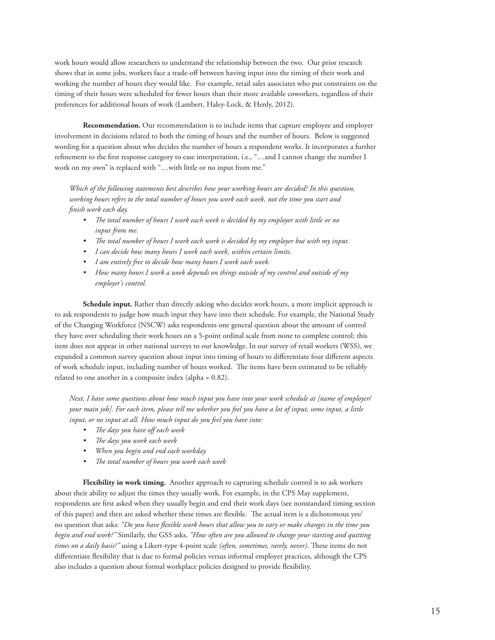work hours would allow researchers to understand the relationship between the two. Our prior research shows that in some jobs, workers face a trade-off between having input into the timing of their work and working the number of hours they would like. For example, retail sales associates who put constraints on the timing of their hours were scheduled for fewer hours than their more available coworkers, regardless of their preferences for additional hours of work (Lambert, Haley-Lock, & Henly, 2012).

 **Recommendation.** Our recommendation is to include items that capture employee and employer involvement in decisions related to both the timing of hours and the number of hours. Below is suggested wording for a question about who decides the number of hours a respondent works. It incorporates a further refinement to the first response category to ease interpretation, i.e., "…and I cannot change the number I work on my own" is replaced with "…with little or no input from me."

*Which of the following statements best describes how your working hours are decided? In this question, working hours refers to the total number of hours you work each week, not the time you start and finish work each day.* 

- *• The total number of hours I work each week is decided by my employer with little or no input from me.*
- *• The total number of hours I work each work is decided by my employer but with my input.*
- *• I can decide how many hours I work each week, within certain limits.*
- *• I am entirely free to decide how many hours I work each week.*
- *• How many hours I work a week depends on things outside of my control and outside of my employer's control.*

 **Schedule input.** Rather than directly asking who decides work hours, a more implicit approach is to ask respondents to judge how much input they have into their schedule. For example, the National Study of the Changing Workforce (NSCW) asks respondents one general question about the amount of control they have over scheduling their work hours on a 5-point ordinal scale from none to complete control; this item does not appear in other national surveys to our knowledge. In our survey of retail workers (WSS), we expanded a common survey question about input into timing of hours to differentiate four different aspects of work schedule input, including number of hours worked. The items have been estimated to be reliably related to one another in a composite index (alpha = 0.82).

*Next, I have some questions about how much input you have into your work schedule at [name of employer/ your main job]. For each item, please tell me whether you feel you have a lot of input, some input, a little input, or no input at all. How much input do you feel you have into:*

- *• The days you have off each week*
- *• The days you work each week*
- *• When you begin and end each workday*
- *• The total number of hours you work each week*

 **Flexibility in work timing.** Another approach to capturing schedule control is to ask workers about their ability to adjust the times they usually work. For example, in the CPS May supplement, respondents are first asked when they usually begin and end their work days (see nonstandard timing section of this paper) and then are asked whether these times are flexible. The actual item is a dichotomous yes/ no question that asks: *"Do you have flexible work hours that allow you to vary or make changes in the time you begin and end work?"* Similarly, the GSS asks, *"How often are you allowed to change your starting and quitting times on a daily basis?"* using a Likert-type 4-point scale *(often, sometimes, rarely, never)*. These items do not differentiate flexibility that is due to formal policies versus informal employer practices, although the CPS also includes a question about formal workplace policies designed to provide flexibility.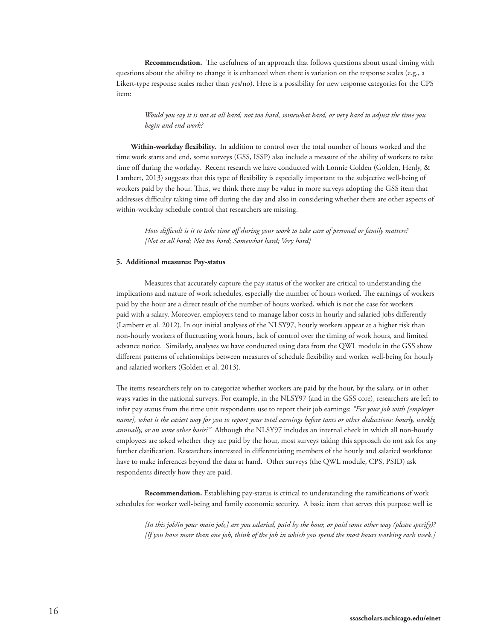**Recommendation.** The usefulness of an approach that follows questions about usual timing with questions about the ability to change it is enhanced when there is variation on the response scales (e.g., a Likert-type response scales rather than yes/no). Here is a possibility for new response categories for the CPS item:

 *Would you say it is not at all hard, not too hard, somewhat hard, or very hard to adjust the time you begin and end work?*

**Within-workday flexibility.** In addition to control over the total number of hours worked and the time work starts and end, some surveys (GSS, ISSP) also include a measure of the ability of workers to take time off during the workday. Recent research we have conducted with Lonnie Golden (Golden, Henly, & Lambert, 2013) suggests that this type of flexibility is especially important to the subjective well-being of workers paid by the hour. Thus, we think there may be value in more surveys adopting the GSS item that addresses difficulty taking time off during the day and also in considering whether there are other aspects of within-workday schedule control that researchers are missing.

 *How difficult is it to take time off during your work to take care of personal or family matters? [Not at all hard; Not too hard; Somewhat hard; Very hard]*

#### **5. Additional measures: Pay-status**

 Measures that accurately capture the pay status of the worker are critical to understanding the implications and nature of work schedules, especially the number of hours worked. The earnings of workers paid by the hour are a direct result of the number of hours worked, which is not the case for workers paid with a salary. Moreover, employers tend to manage labor costs in hourly and salaried jobs differently (Lambert et al. 2012). In our initial analyses of the NLSY97, hourly workers appear at a higher risk than non-hourly workers of fluctuating work hours, lack of control over the timing of work hours, and limited advance notice. Similarly, analyses we have conducted using data from the QWL module in the GSS show different patterns of relationships between measures of schedule flexibility and worker well-being for hourly and salaried workers (Golden et al. 2013).

The items researchers rely on to categorize whether workers are paid by the hour, by the salary, or in other ways varies in the national surveys. For example, in the NLSY97 (and in the GSS core), researchers are left to infer pay status from the time unit respondents use to report their job earnings: *"For your job with [employer name], what is the easiest way for you to report your total earnings before taxes or other deductions: hourly, weekly, annually, or on some other basis?"* Although the NLSY97 includes an internal check in which all non-hourly employees are asked whether they are paid by the hour, most surveys taking this approach do not ask for any further clarification. Researchers interested in differentiating members of the hourly and salaried workforce have to make inferences beyond the data at hand. Other surveys (the QWL module, CPS, PSID) ask respondents directly how they are paid.

 **Recommendation.** Establishing pay-status is critical to understanding the ramifications of work schedules for worker well-being and family economic security. A basic item that serves this purpose well is:

 *[In this job/in your main job,] are you salaried, paid by the hour, or paid some other way (please specify)? [If you have more than one job, think of the job in which you spend the most hours working each week.]*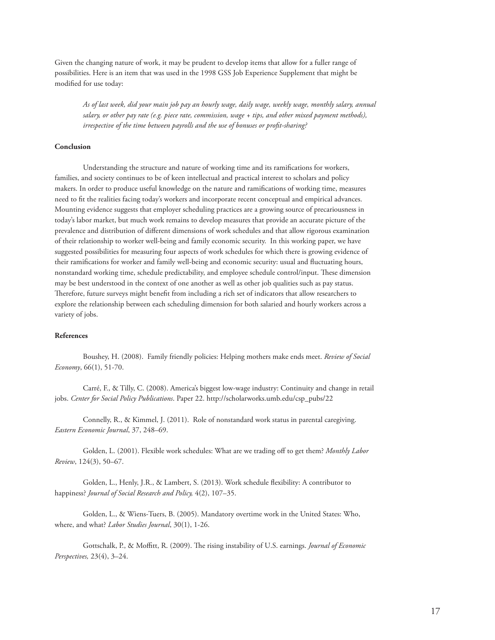Given the changing nature of work, it may be prudent to develop items that allow for a fuller range of possibilities. Here is an item that was used in the 1998 GSS Job Experience Supplement that might be modified for use today:

 *As of last week, did your main job pay an hourly wage, daily wage, weekly wage, monthly salary, annual salary, or other pay rate (e.g. piece rate, commission, wage + tips, and other mixed payment methods), irrespective of the time between payrolls and the use of bonuses or profit-sharing?*

#### **Conclusion**

 Understanding the structure and nature of working time and its ramifications for workers, families, and society continues to be of keen intellectual and practical interest to scholars and policy makers. In order to produce useful knowledge on the nature and ramifications of working time, measures need to fit the realities facing today's workers and incorporate recent conceptual and empirical advances. Mounting evidence suggests that employer scheduling practices are a growing source of precariousness in today's labor market, but much work remains to develop measures that provide an accurate picture of the prevalence and distribution of different dimensions of work schedules and that allow rigorous examination of their relationship to worker well-being and family economic security. In this working paper, we have suggested possibilities for measuring four aspects of work schedules for which there is growing evidence of their ramifications for worker and family well-being and economic security: usual and fluctuating hours, nonstandard working time, schedule predictability, and employee schedule control/input. These dimension may be best understood in the context of one another as well as other job qualities such as pay status. Therefore, future surveys might benefit from including a rich set of indicators that allow researchers to explore the relationship between each scheduling dimension for both salaried and hourly workers across a variety of jobs.

# **References**

 Boushey, H. (2008). Family friendly policies: Helping mothers make ends meet. *Review of Social Economy*, 66(1), 51-70.

 Carré, F., & Tilly, C. (2008). America's biggest low-wage industry: Continuity and change in retail jobs. *Center for Social Policy Publications*. Paper 22. http://scholarworks.umb.edu/csp\_pubs/22

 Connelly, R., & Kimmel, J. (2011). Role of nonstandard work status in parental caregiving. *Eastern Economic Journal*, 37, 248–69.

 Golden, L. (2001). Flexible work schedules: What are we trading off to get them? *Monthly Labor Review*, 124(3), 50–67.

 Golden, L., Henly, J.R., & Lambert, S. (2013). Work schedule flexibility: A contributor to happiness? *Journal of Social Research and Policy,* 4(2), 107–35.

 Golden, L., & Wiens-Tuers, B. (2005). Mandatory overtime work in the United States: Who, where, and what? *Labor Studies Journal*, 30(1), 1-26.

 Gottschalk, P., & Moffitt, R. (2009). The rising instability of U.S. earnings. *Journal of Economic Perspectives,* 23(4), 3–24.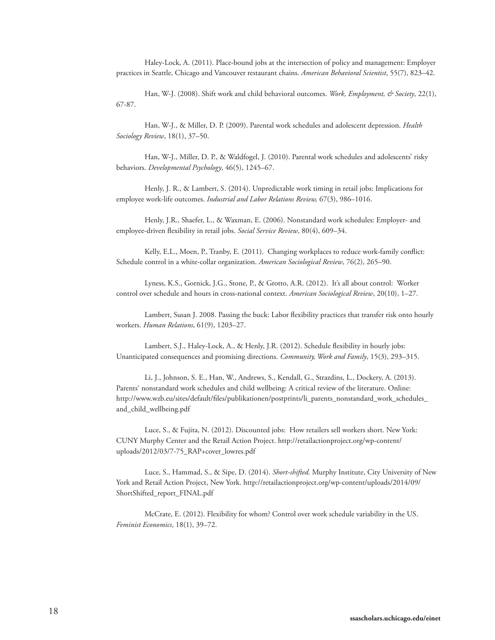Haley-Lock, A. (2011). Place-bound jobs at the intersection of policy and management: Employer practices in Seattle, Chicago and Vancouver restaurant chains. *American Behavioral Scientist*, 55(7), 823–42.

 Han, W-J. (2008). Shift work and child behavioral outcomes. *Work, Employment, & Society*, 22(1), 67-87.

 Han, W-J., & Miller, D. P. (2009). Parental work schedules and adolescent depression. *Health Sociology Review*, 18(1), 37–50.

 Han, W-J., Miller, D. P., & Waldfogel, J. (2010). Parental work schedules and adolescents' risky behaviors. *Developmental Psychology*, 46(5), 1245–67.

 Henly, J. R., & Lambert, S. (2014). Unpredictable work timing in retail jobs: Implications for employee work-life outcomes. *Industrial and Labor Relations Review,* 67(3), 986–1016.

 Henly, J.R., Shaefer, L., & Waxman, E. (2006). Nonstandard work schedules: Employer- and employee-driven flexibility in retail jobs. *Social Service Review*, 80(4), 609–34.

 Kelly, E.L., Moen, P., Tranby, E. (2011). Changing workplaces to reduce work-family conflict: Schedule control in a white-collar organization. *American Sociological Review*, 76(2), 265–90.

 Lyness, K.S., Gornick, J.G., Stone, P., & Grotto, A.R. (2012). It's all about control: Worker control over schedule and hours in cross-national context. *American Sociological Review*, 20(10), 1–27.

 Lambert, Susan J. 2008. Passing the buck: Labor flexibility practices that transfer risk onto hourly workers. *Human Relations*, 61(9), 1203–27.

 Lambert, S.J., Haley-Lock, A., & Henly, J.R. (2012). Schedule flexibility in hourly jobs: Unanticipated consequences and promising directions. *Community, Work and Family*, 15(3), 293–315.

 Li, J., Johnson, S. E., Han, W., Andrews, S., Kendall, G., Strazdins, L., Dockery, A. (2013). Parents' nonstandard work schedules and child wellbeing: A critical review of the literature. Online: http://www.wzb.eu/sites/default/files/publikationen/postprints/li\_parents\_nonstandard\_work\_schedules\_ and\_child\_wellbeing.pdf

 Luce, S., & Fujita, N. (2012). Discounted jobs: How retailers sell workers short. New York: CUNY Murphy Center and the Retail Action Project. http://retailactionproject.org/wp-content/ uploads/2012/03/7-75\_RAP+cover\_lowres.pdf

 Luce, S., Hammad, S., & Sipe, D. (2014). *Short-shifted*. Murphy Institute, City University of New York and Retail Action Project, New York. http://retailactionproject.org/wp-content/uploads/2014/09/ ShortShifted\_report\_FINAL.pdf

 McCrate, E. (2012). Flexibility for whom? Control over work schedule variability in the US. *Feminist Economics*, 18(1), 39–72.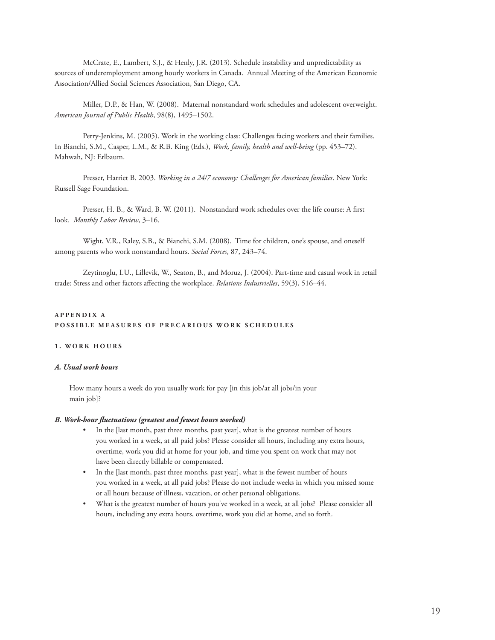McCrate, E., Lambert, S.J., & Henly, J.R. (2013). Schedule instability and unpredictability as sources of underemployment among hourly workers in Canada. Annual Meeting of the American Economic Association/Allied Social Sciences Association, San Diego, CA.

 Miller, D.P., & Han, W. (2008). Maternal nonstandard work schedules and adolescent overweight. *American Journal of Public Health*, 98(8), 1495–1502.

 Perry-Jenkins, M. (2005). Work in the working class: Challenges facing workers and their families. In Bianchi, S.M., Casper, L.M., & R.B. King (Eds.), *Work, family, health and well-being* (pp. 453–72). Mahwah, NJ: Erlbaum.

 Presser, Harriet B. 2003. *Working in a 24/7 economy: Challenges for American families*. New York: Russell Sage Foundation.

 Presser, H. B., & Ward, B. W. (2011). Nonstandard work schedules over the life course: A first look. *Monthly Labor Review*, 3–16.

 Wight, V.R., Raley, S.B., & Bianchi, S.M. (2008). Time for children, one's spouse, and oneself among parents who work nonstandard hours. *Social Forces*, 87, 243–74.

 Zeytinoglu, I.U., Lillevik, W., Seaton, B., and Moruz, J. (2004). Part-time and casual work in retail trade: Stress and other factors affecting the workplace. *Relations Industrielles*, 59(3), 516–44.

# **A P P E N D I X A**  POSSIBLE MEASURES OF PRECARIOUS WORK SCHEDULES

# **1. WORK HOURS**

#### *A. Usual work hours*

How many hours a week do you usually work for pay [in this job/at all jobs/in your main job]?

# *B. Work-hour fluctuations (greatest and fewest hours worked)*

- In the [last month, past three months, past year], what is the greatest number of hours you worked in a week, at all paid jobs? Please consider all hours, including any extra hours, overtime, work you did at home for your job, and time you spent on work that may not have been directly billable or compensated.
- In the [last month, past three months, past year], what is the fewest number of hours you worked in a week, at all paid jobs? Please do not include weeks in which you missed some or all hours because of illness, vacation, or other personal obligations.
- What is the greatest number of hours you've worked in a week, at all jobs? Please consider all hours, including any extra hours, overtime, work you did at home, and so forth.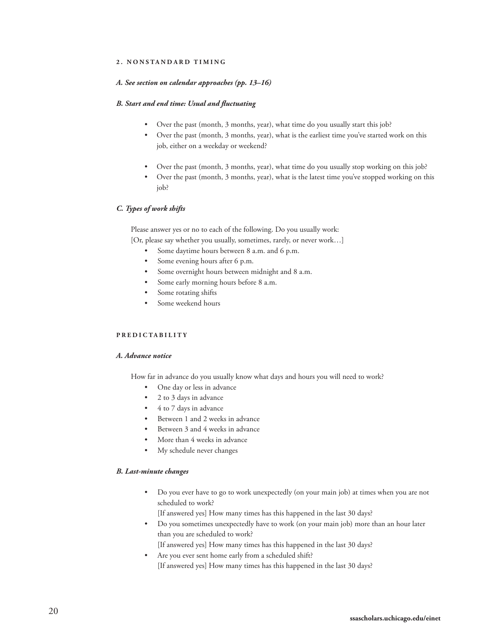#### **2. NONSTANDARD TIMING**

#### *A. See section on calendar approaches (pp. 13–16)*

#### *B. Start and end time: Usual and fluctuating*

- Over the past (month, 3 months, year), what time do you usually start this job?
- Over the past (month, 3 months, year), what is the earliest time you've started work on this job, either on a weekday or weekend?
- Over the past (month, 3 months, year), what time do you usually stop working on this job?
- Over the past (month, 3 months, year), what is the latest time you've stopped working on this job?

#### *C. Types of work shifts*

Please answer yes or no to each of the following. Do you usually work: [Or, please say whether you usually, sometimes, rarely, or never work…]

- Some daytime hours between 8 a.m. and 6 p.m.
- Some evening hours after 6 p.m.
- Some overnight hours between midnight and 8 a.m.
- Some early morning hours before 8 a.m.
- Some rotating shifts
- Some weekend hours

#### **PREDICTABILITY**

#### *A. Advance notice*

How far in advance do you usually know what days and hours you will need to work?

- One day or less in advance
- 2 to 3 days in advance
- 4 to 7 days in advance
- Between 1 and 2 weeks in advance
- Between 3 and 4 weeks in advance
- More than 4 weeks in advance
- My schedule never changes

### *B. Last-minute changes*

 • Do you ever have to go to work unexpectedly (on your main job) at times when you are not scheduled to work?

[If answered yes] How many times has this happened in the last 30 days?

 • Do you sometimes unexpectedly have to work (on your main job) more than an hour later than you are scheduled to work?

[If answered yes] How many times has this happened in the last 30 days?

Are you ever sent home early from a scheduled shift? [If answered yes] How many times has this happened in the last 30 days?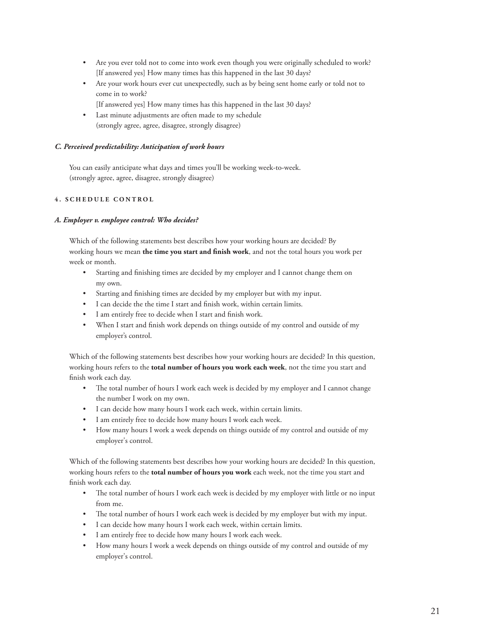- Are you ever told not to come into work even though you were originally scheduled to work? [If answered yes] How many times has this happened in the last 30 days?
- Are your work hours ever cut unexpectedly, such as by being sent home early or told not to come in to work?
- [If answered yes] How many times has this happened in the last 30 days?
- Last minute adjustments are often made to my schedule (strongly agree, agree, disagree, strongly disagree)

# *C. Perceived predictability: Anticipation of work hours*

You can easily anticipate what days and times you'll be working week-to-week. (strongly agree, agree, disagree, strongly disagree)

# **4. SCHEDULE CONTROL**

# *A. Employer v. employee control: Who decides?*

Which of the following statements best describes how your working hours are decided? By working hours we mean **the time you start and finish work**, and not the total hours you work per week or month.

- Starting and finishing times are decided by my employer and I cannot change them on my own.
- Starting and finishing times are decided by my employer but with my input.
- I can decide the the time I start and finish work, within certain limits.
- I am entirely free to decide when I start and finish work.
- When I start and finish work depends on things outside of my control and outside of my employer's control.

Which of the following statements best describes how your working hours are decided? In this question, working hours refers to the **total number of hours you work each week**, not the time you start and finish work each day.

- The total number of hours I work each week is decided by my employer and I cannot change the number I work on my own.
- I can decide how many hours I work each week, within certain limits.
- I am entirely free to decide how many hours I work each week.
- How many hours I work a week depends on things outside of my control and outside of my employer's control.

Which of the following statements best describes how your working hours are decided? In this question, working hours refers to the **total number of hours you work** each week, not the time you start and finish work each day.

- The total number of hours I work each week is decided by my employer with little or no input from me.
- The total number of hours I work each week is decided by my employer but with my input.
- I can decide how many hours I work each week, within certain limits.
- I am entirely free to decide how many hours I work each week.
- How many hours I work a week depends on things outside of my control and outside of my employer's control.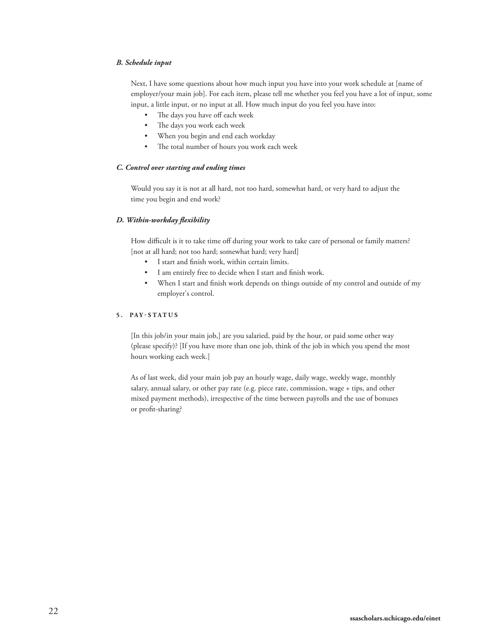# *B. Schedule input*

Next, I have some questions about how much input you have into your work schedule at [name of employer/your main job]. For each item, please tell me whether you feel you have a lot of input, some input, a little input, or no input at all. How much input do you feel you have into:

- The days you have off each week
- The days you work each week
- When you begin and end each workday
- The total number of hours you work each week

#### *C. Control over starting and ending times*

Would you say it is not at all hard, not too hard, somewhat hard, or very hard to adjust the time you begin and end work?

#### *D. Within-workday flexibility*

How difficult is it to take time off during your work to take care of personal or family matters? [not at all hard; not too hard; somewhat hard; very hard]

- I start and finish work, within certain limits.
- I am entirely free to decide when I start and finish work.
- When I start and finish work depends on things outside of my control and outside of my employer's control.

#### **5. PAY-STATUS**

[In this job/in your main job,] are you salaried, paid by the hour, or paid some other way (please specify)? [If you have more than one job, think of the job in which you spend the most hours working each week.]

As of last week, did your main job pay an hourly wage, daily wage, weekly wage, monthly salary, annual salary, or other pay rate (e.g. piece rate, commission, wage + tips, and other mixed payment methods), irrespective of the time between payrolls and the use of bonuses or profit-sharing?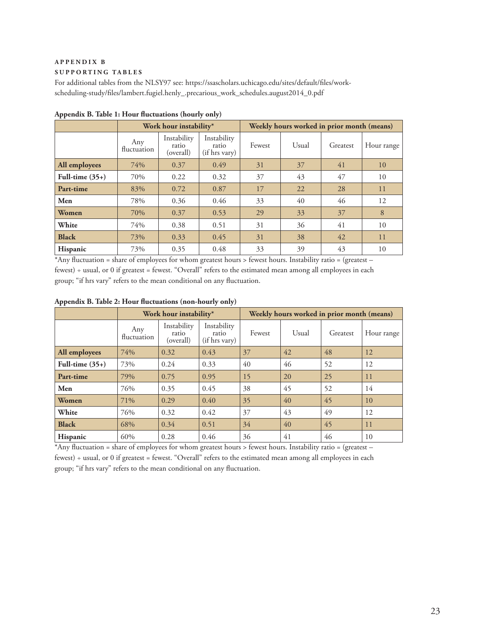#### **APPENDIX B**

# **SUPPORTING TABLES**

For additional tables from the NLSY97 see: https://ssascholars.uchicago.edu/sites/default/files/workscheduling-study/files/lambert.fugiel.henly\_.precarious\_work\_schedules.august2014\_0.pdf

|                   |                                                                  | Work hour instability* |                              | Weekly hours worked in prior month (means) |       |    |            |  |  |
|-------------------|------------------------------------------------------------------|------------------------|------------------------------|--------------------------------------------|-------|----|------------|--|--|
|                   | Instability<br>Any<br>ratio<br>ratio<br>fluctuation<br>(overall) |                        | Instability<br>(if hrs vary) | Fewest                                     | Usual |    | Hour range |  |  |
| All employees     | 74%                                                              | 0.37                   | 0.49                         | 31                                         | 37    | 41 | 10         |  |  |
| Full-time $(35+)$ | 70%                                                              | 0.22                   | 0.32                         | 37                                         | 43    | 47 | 10         |  |  |
| Part-time         | 83%                                                              | 0.72                   | 0.87                         | 17                                         | 22    | 28 | 11         |  |  |
| Men               | 78%                                                              | 0.36                   | 0.46                         | 33                                         | 40    | 46 | 12         |  |  |
| <b>Women</b>      | 70%                                                              | 0.37                   | 0.53                         | 29                                         | 33    | 37 | 8          |  |  |
| White             | 74%                                                              | 0.38                   | 0.51                         | 31                                         | 36    | 41 | 10         |  |  |
| <b>Black</b>      | 73%                                                              | 0.33                   | 0.45                         | 31                                         | 38    | 42 | 11         |  |  |
| Hispanic          | 73%                                                              | 0.35                   | 0.48                         | 33                                         | 39    | 43 | 10         |  |  |

**Appendix B. Table 1: Hour fluctuations (hourly only)**

\*Any fluctuation = share of employees for whom greatest hours > fewest hours. Instability ratio = (greatest – fewest) ÷ usual, or 0 if greatest = fewest. "Overall" refers to the estimated mean among all employees in each group; "if hrs vary" refers to the mean conditional on any fluctuation.

**Appendix B. Table 2: Hour fluctuations (non-hourly only)**

|                   |                    | Work hour instability*                                                     |      | Weekly hours worked in prior month (means) |       |          |            |  |  |
|-------------------|--------------------|----------------------------------------------------------------------------|------|--------------------------------------------|-------|----------|------------|--|--|
|                   | Any<br>fluctuation | Instability<br>Instability<br>ratio<br>ratio<br>(overall)<br>(if hrs vary) |      | Fewest                                     | Usual | Greatest | Hour range |  |  |
| All employees     | 74%                | 0.32                                                                       | 0.43 | 37                                         | 42    | 48       | 12         |  |  |
| Full-time $(35+)$ | 73%                | 0.24                                                                       | 0.33 | 40                                         | 46    | 52       | 12         |  |  |
| Part-time         | 79%                | 0.75                                                                       | 0.95 | 15                                         | 20    | 25       | 11         |  |  |
| Men               | 76%                | 0.35                                                                       | 0.45 | 38                                         | 45    | 52       | 14         |  |  |
| Women             | 71%                | 0.29                                                                       | 0.40 | 35                                         | 40    | 45       | 10         |  |  |
| White             | 76%                | 0.32                                                                       | 0.42 | 37                                         | 43    | 49       | 12         |  |  |
| <b>Black</b>      | 68%                | 0.34                                                                       | 0.51 | 34                                         | 40    | 45       | 11         |  |  |
| <b>Hispanic</b>   | 60%                | 0.28                                                                       | 0.46 | 36                                         | 41    | 46       | 10         |  |  |

\*Any fluctuation = share of employees for whom greatest hours > fewest hours. Instability ratio = (greatest – fewest) ÷ usual, or 0 if greatest = fewest. "Overall" refers to the estimated mean among all employees in each group; "if hrs vary" refers to the mean conditional on any fluctuation.